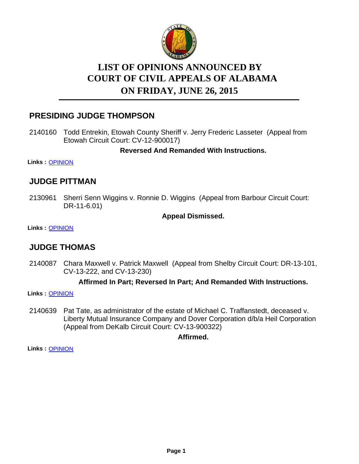

# **LIST OF OPINIONS ANNOUNCED BY ON FRIDAY, JUNE 26, 2015 COURT OF CIVIL APPEALS OF ALABAMA**

# **PRESIDING JUDGE THOMPSON**

2140160 Todd Entrekin, Etowah County Sheriff v. Jerry Frederic Lasseter (Appeal from Etowah Circuit Court: CV-12-900017)

**Reversed And Remanded With Instructions.**

**Links :** [OPINION](https://acis.alabama.gov/displaydocs.cfm?no=666773&event=4DU0LJD2N)

### **JUDGE PITTMAN**

2130961 Sherri Senn Wiggins v. Ronnie D. Wiggins (Appeal from Barbour Circuit Court: DR-11-6.01)

### **Appeal Dismissed.**

**Links :** [OPINION](https://acis.alabama.gov/displaydocs.cfm?no=666771&event=4DU0LJCN2)

### **JUDGE THOMAS**

2140087 Chara Maxwell v. Patrick Maxwell (Appeal from Shelby Circuit Court: DR-13-101, CV-13-222, and CV-13-230)

### **Affirmed In Part; Reversed In Part; And Remanded With Instructions.**

**Links :** [OPINION](https://acis.alabama.gov/displaydocs.cfm?no=666772&event=4DU0LJCUG)

Pat Tate, as administrator of the estate of Michael C. Traffanstedt, deceased v. Liberty Mutual Insurance Company and Dover Corporation d/b/a Heil Corporation (Appeal from DeKalb Circuit Court: CV-13-900322) 2140639

### **Affirmed.**

**Links :** [OPINION](https://acis.alabama.gov/displaydocs.cfm?no=666776&event=4DU0LJDIA)